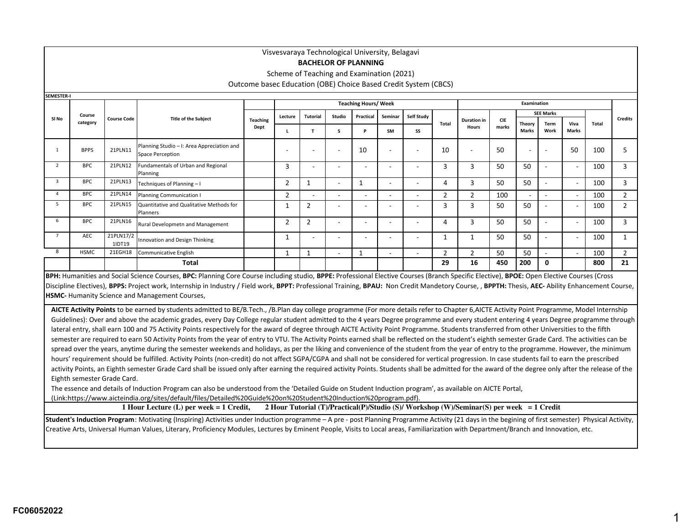## **BACHELOR OF PLANNING**

Scheme of Teaching and Examination (2021)

Outcome basec Education (OBE) Choice Based Credit System (CBCS)

| SEMESTER-I               |             |                     |                                                                |                         |                          |                          |                          |                             |                          |                          |       |                                    |                     |                          |                          |                          |       |                |
|--------------------------|-------------|---------------------|----------------------------------------------------------------|-------------------------|--------------------------|--------------------------|--------------------------|-----------------------------|--------------------------|--------------------------|-------|------------------------------------|---------------------|--------------------------|--------------------------|--------------------------|-------|----------------|
|                          |             |                     |                                                                |                         |                          |                          |                          | <b>Teaching Hours/ Week</b> |                          |                          |       |                                    |                     | Examination              |                          |                          |       |                |
|                          | Course      |                     |                                                                |                         | Lecture                  | Tutorial                 | Studio                   | Practical                   | Seminar                  | Self Study               |       |                                    |                     |                          | <b>SEE Marks</b>         |                          |       |                |
| SI No                    | category    | <b>Course Code</b>  | <b>Title of the Subject</b>                                    | <b>Teaching</b><br>Dept |                          |                          | s                        | P                           | <b>SM</b>                | SS                       | Total | <b>Duration in</b><br><b>Hours</b> | <b>CIE</b><br>marks | Theory<br>Marks          | <b>Term</b><br>Work      | Viva<br><b>Marks</b>     | Total | <b>Credits</b> |
|                          | <b>BPPS</b> | 21PLN11             | Planning Studio - I: Area Appreciation and<br>Space Perception |                         | $\overline{\phantom{0}}$ | $\overline{\phantom{a}}$ | $\overline{\phantom{a}}$ | 10                          | $\overline{\phantom{a}}$ | $\overline{\phantom{a}}$ | 10    | $\sim$                             | 50                  | $\overline{\phantom{a}}$ | $\overline{\phantom{a}}$ | 50                       | 100   | ר              |
| $\overline{\phantom{a}}$ | <b>BPC</b>  | 21PLN12             | Fundamentals of Urban and Regional<br>Planning                 |                         | 3                        |                          |                          | $\overline{\phantom{0}}$    |                          |                          | 3     | 3                                  | 50                  | 50                       |                          | $\overline{\phantom{a}}$ | 100   | 3              |
| 3                        | <b>BPC</b>  | 21PLN13             | Techniques of Planning-I                                       |                         | 2                        | 1                        | $\overline{\phantom{a}}$ |                             |                          | $\overline{\phantom{a}}$ | 4     | 3                                  | 50                  | 50                       | ۰                        | $\sim$                   | 100   | 3              |
| Δ                        | <b>BPC</b>  | 21PLN14             | Planning Communication I                                       |                         | 2                        | ۰.                       | $\overline{\phantom{a}}$ | $\overline{\phantom{a}}$    |                          | $\overline{\phantom{a}}$ | 2     | $\overline{2}$                     | 100                 | $\sim$                   | ۰                        | $\sim$                   | 100   | $\overline{2}$ |
| 5                        | <b>BPC</b>  | 21PLN15             | Quantitative and Qualitative Methods for<br>Planners           |                         |                          | $\overline{2}$           | $\overline{\phantom{a}}$ | $\overline{\phantom{a}}$    |                          |                          | 3     | 3                                  | 50                  | 50                       | ٠                        | $\overline{\phantom{a}}$ | 100   | $\overline{2}$ |
| 6                        | <b>BPC</b>  | 21PLN16             | Rural Developmetn and Management                               |                         | $\overline{2}$           | $\overline{2}$           |                          | $\overline{\phantom{a}}$    |                          |                          | 4     | 3                                  | 50                  | 50                       |                          | $\overline{\phantom{a}}$ | 100   | $\overline{3}$ |
|                          | AEC         | 21PLN17/2<br>1IDT19 | Innovation and Design Thinking                                 |                         |                          | ۰                        | $\overline{\phantom{a}}$ | $\overline{\phantom{a}}$    |                          | $\overline{\phantom{a}}$ |       |                                    | 50                  | 50                       | ۰                        | $\overline{\phantom{a}}$ | 100   |                |
| 8                        | <b>HSMC</b> | 21EGH18             | Communicative English                                          |                         |                          |                          | $\overline{\phantom{a}}$ |                             |                          | $\overline{\phantom{a}}$ | p     | $\mathcal{D}$                      | 50                  | 50                       | ۰                        | $\sim$                   | 100   | $\overline{2}$ |
|                          |             |                     | <b>Total</b>                                                   |                         |                          |                          |                          |                             |                          |                          | 29    | 16                                 | 450                 | 200                      | 0                        |                          | 800   | 21             |

**BPH:** Humanities and Social Science Courses, **BPC:** Planning Core Course including studio, **BPPE:** Professional Elective Courses (Branch Specific Elective), **BPOE:** Open Elective Courses (Cross Discipline Electives), BPPS: Project work, Internship in Industry / Field work, BPPT: Professional Training, BPAU: Non Credit Mandetory Course, , BPPTH: Thesis, AEC-Ability Enhancement Course, **HSMC-** Humanity Science and Management Courses,

**AICTE Activity Points** to be earned by students admitted to BE/B.Tech., /B.Plan day college programme (For more details refer to Chapter 6,AICTE Activity Point Programme, Model Internship Guidelines): Over and above the academic grades, every Day College regular student admitted to the 4 years Degree programme and every student entering 4 years Degree programme through lateral entry, shall earn 100 and 75 Activity Points respectively for the award of degree through AICTE Activity Point Programme. Students transferred from other Universities to the fifth semester are required to earn 50 Activity Points from the year of entry to VTU. The Activity Points earned shall be reflected on the student's eighth semester Grade Card. The activities can be spread over the years, anytime during the semester weekends and holidays, as per the liking and convenience of the student from the year of entry to the programme. However, the minimum hours' requirement should be fulfilled. Activity Points (non-credit) do not affect SGPA/CGPA and shall not be considered for vertical progression. In case students fail to earn the prescribed activity Points, an Eighth semester Grade Card shall be issued only after earning the required activity Points. Students shall be admitted for the award of the degree only after the release of the Eighth semester Grade Card.

The essence and details of Induction Program can also be understood from the 'Detailed Guide on Student Induction program', as available on AICTE Portal,

(Link:https://www.aicteindia.org/sites/default/files/Detailed%20Guide%20on%20Student%20Induction%20program.pdf).

**1 Hour Lecture (L) per week = 1 Credit, 2 Hour Tutorial (T)/Practical(P)/Studio (S)/ Workshop (W)/Seminar(S) per week = 1 Credit**

**Student's Induction Program**: Motivating (Inspiring) Activities under Induction programme – A pre - post Planning Programme Activity (21 days in the begining of first semester) Physical Activity, Creative Arts, Universal Human Values, Literary, Proficiency Modules, Lectures by Eminent People, Visits to Local areas, Familiarization with Department/Branch and Innovation, etc.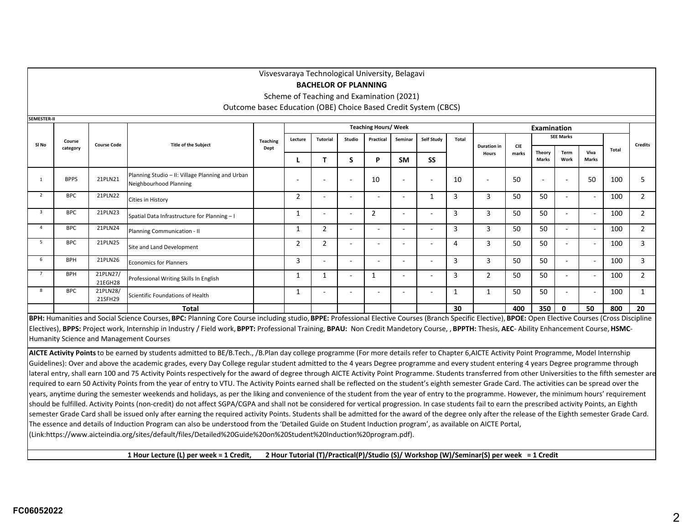|                |             |                     |                                                                            |                 |                | Visvesvaraya Technological University, Belagavi<br><b>BACHELOR OF PLANNING</b> |        |                             |                          |                          |              |                                    |            |              |                          |                          |       |                |
|----------------|-------------|---------------------|----------------------------------------------------------------------------|-----------------|----------------|--------------------------------------------------------------------------------|--------|-----------------------------|--------------------------|--------------------------|--------------|------------------------------------|------------|--------------|--------------------------|--------------------------|-------|----------------|
|                |             |                     |                                                                            |                 |                | Scheme of Teaching and Examination (2021)                                      |        |                             |                          |                          |              |                                    |            |              |                          |                          |       |                |
|                |             |                     |                                                                            |                 |                |                                                                                |        |                             |                          |                          |              |                                    |            |              |                          |                          |       |                |
|                |             |                     | Outcome basec Education (OBE) Choice Based Credit System (CBCS)            |                 |                |                                                                                |        |                             |                          |                          |              |                                    |            |              |                          |                          |       |                |
| SEMESTER-II    |             |                     |                                                                            |                 |                |                                                                                |        |                             |                          |                          |              |                                    |            |              |                          |                          |       |                |
|                |             |                     |                                                                            |                 |                |                                                                                |        | <b>Teaching Hours/ Week</b> |                          |                          |              |                                    |            | Examination  |                          |                          |       |                |
| SI No          | Course      | <b>Course Code</b>  | <b>Title of the Subject</b>                                                | <b>Teaching</b> | Lecture        | Tutorial                                                                       | Studio | Practical                   | Seminar                  | Self Study               | Total        |                                    | <b>CIE</b> |              | <b>SEE Marks</b>         |                          |       | <b>Credits</b> |
|                | category    |                     |                                                                            | Dept            |                |                                                                                |        |                             |                          |                          |              | <b>Duration</b> in<br><b>Hours</b> | marks      | Theory       | Term                     | Viva                     | Total |                |
|                |             |                     |                                                                            |                 |                | T                                                                              | S      | P                           | <b>SM</b>                | <b>SS</b>                |              |                                    |            | <b>Marks</b> | Work                     | <b>Marks</b>             |       |                |
|                | <b>BPPS</b> | 21PLN21             | Planning Studio - II: Village Planning and Urban<br>Neighbourhood Planning |                 |                |                                                                                |        | 10                          |                          | ÷                        | 10           |                                    | 50         |              | ٠                        | 50                       | 100   | 5              |
| $\overline{2}$ | <b>BPC</b>  | 21PLN22             | Cities in History                                                          |                 | 2              | $\overline{\phantom{0}}$                                                       |        | $\overline{\phantom{0}}$    | $\overline{\phantom{0}}$ | 1                        | 3            | 3                                  | 50         | 50           | $\sim$                   |                          | 100   | $\overline{2}$ |
| $\mathbf{3}$   | <b>BPC</b>  | 21PLN23             | Spatial Data Infrastructure for Planning - I                               |                 | 1              | $\overline{\phantom{a}}$                                                       |        | $\overline{2}$              | $\overline{\phantom{0}}$ | $\overline{\phantom{0}}$ | 3            | 3                                  | 50         | 50           | $\sim$                   |                          | 100   | $\overline{2}$ |
| $\overline{a}$ | <b>BPC</b>  | 21PLN24             | Planning Communication - II                                                |                 | 1              | 2                                                                              |        | ٠                           | $\overline{\phantom{0}}$ | $\blacksquare$           | 3            | 3                                  | 50         | 50           | $\overline{\phantom{a}}$ |                          | 100   | $\overline{2}$ |
| 5              | <b>BPC</b>  | 21PLN25             | Site and Land Development                                                  |                 | $\overline{2}$ | 2                                                                              |        | $\overline{\phantom{a}}$    |                          | ÷                        | 4            | 3                                  | 50         | 50           | $\overline{a}$           |                          | 100   | 3              |
| 6              | <b>BPH</b>  | 21PLN26             | <b>Economics for Planners</b>                                              |                 | 3              | $\overline{\phantom{a}}$                                                       |        | ۰                           | ۰                        | $\overline{\phantom{a}}$ | 3            | 3                                  | 50         | 50           | $\sim$                   | <b>.</b>                 | 100   | 3              |
| $\overline{7}$ | <b>BPH</b>  | 21PLN27/<br>21EGH28 | Professional Writing Skills In English                                     |                 | 1              |                                                                                |        | $\mathbf{1}$                |                          | $\blacksquare$           | 3            | $\overline{2}$                     | 50         | 50           | $\overline{\phantom{a}}$ |                          | 100   | $\overline{2}$ |
| 8              | <b>BPC</b>  | 21PLN28/<br>21SFH29 | Scientific Foundations of Health                                           |                 | $\mathbf{1}$   | $\overline{a}$                                                                 |        | $\sim$                      | $\overline{\phantom{a}}$ | $\blacksquare$           | $\mathbf{1}$ |                                    | 50         | 50           | $\sim$                   | $\overline{\phantom{a}}$ | 100   | $\mathbf{1}$   |
|                |             |                     | Total                                                                      |                 |                |                                                                                |        |                             |                          |                          | 30           |                                    | 400        | 350          | 0                        | 50                       | 800   | 20             |

BPH: Humanities and Social Science Courses, BPC: Planning Core Course including studio, BPPE: Professional Elective Courses (Branch Specific Elective), BPOE: Open Elective Courses (Cross Discipline Electives), BPPS: Project work, Internship in Industry / Field work, BPPT: Professional Training, BPAU: Non Credit Mandetory Course, , BPPTH: Thesis, AEC- Ability Enhancement Course, HSMC-Humanity Science and Management Courses

**AICTE Activity Points** to be earned by students admitted to BE/B.Tech., /B.Plan day college programme (For more details refer to Chapter 6,AICTE Activity Point Programme, Model Internship Guidelines): Over and above the academic grades, every Day College regular student admitted to the 4 years Degree programme and every student entering 4 years Degree programme through lateral entry, shall earn 100 and 75 Activity Points respectively for the award of degree through AICTE Activity Point Programme. Students transferred from other Universities to the fifth semester are required to earn 50 Activity Points from the year of entry to VTU. The Activity Points earned shall be reflected on the student's eighth semester Grade Card. The activities can be spread over the years, anytime during the semester weekends and holidays, as per the liking and convenience of the student from the year of entry to the programme. However, the minimum hours' requirement should be fulfilled. Activity Points (non-credit) do not affect SGPA/CGPA and shall not be considered for vertical progression. In case students fail to earn the prescribed activity Points, an Eighth semester Grade Card shall be issued only after earning the required activity Points. Students shall be admitted for the award of the degree only after the release of the Eighth semester Grade Card. The essence and details of Induction Program can also be understood from the 'Detailed Guide on Student Induction program', as available on AICTE Portal, (Link:https://www.aicteindia.org/sites/default/files/Detailed%20Guide%20on%20Student%20Induction%20program.pdf).

**1 Hour Lecture (L) per week = 1 Credit, 2 Hour Tutorial (T)/Practical(P)/Studio (S)/ Workshop (W)/Seminar(S) per week = 1 Credit**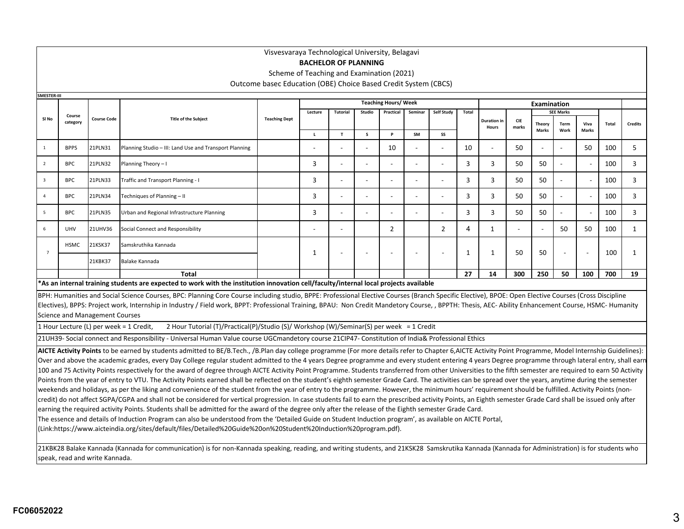### **BACHELOR OF PLANNING**

Scheme of Teaching and Examination (2021)

Outcome basec Education (OBE) Choice Based Credit System (CBCS)

| <b>SMESTER-III</b>      |                                                                                                                                                                                                                                                                      |                                       |                                                                                                                                                                                                              |                      |              |                 |                |                             |                |            |                |                             |              |                    |                  |              |       |                |
|-------------------------|----------------------------------------------------------------------------------------------------------------------------------------------------------------------------------------------------------------------------------------------------------------------|---------------------------------------|--------------------------------------------------------------------------------------------------------------------------------------------------------------------------------------------------------------|----------------------|--------------|-----------------|----------------|-----------------------------|----------------|------------|----------------|-----------------------------|--------------|--------------------|------------------|--------------|-------|----------------|
|                         |                                                                                                                                                                                                                                                                      |                                       |                                                                                                                                                                                                              |                      |              |                 |                | <b>Teaching Hours/ Week</b> |                |            |                |                             |              | <b>Examination</b> |                  |              |       |                |
|                         | Course                                                                                                                                                                                                                                                               |                                       |                                                                                                                                                                                                              |                      | Lecture      | <b>Tutorial</b> | Studio         | Practical                   | Seminar        | Self Study | Total          |                             |              |                    | <b>SEE Marks</b> |              |       |                |
| SI No                   | category                                                                                                                                                                                                                                                             | <b>Course Code</b>                    | <b>Title of the Subject</b>                                                                                                                                                                                  | <b>Teaching Dept</b> |              |                 |                |                             |                |            |                | <b>Duration in</b><br>Hours | CIE<br>marks | Theory             | Term             | Viva         | Total | <b>Credits</b> |
|                         |                                                                                                                                                                                                                                                                      |                                       |                                                                                                                                                                                                              |                      | $\mathbf{L}$ | $\mathbf{T}$    | $\mathsf{s}$   | P                           | SM             | SS         |                |                             |              | <b>Marks</b>       | Work             | <b>Marks</b> |       |                |
| <sup>1</sup>            | <b>BPPS</b>                                                                                                                                                                                                                                                          | 21PLN31                               | Planning Studio - III: Land Use and Transport Planning                                                                                                                                                       |                      |              |                 | $\overline{a}$ | 10                          |                |            | 10             |                             | 50           |                    | $\overline{a}$   | 50           | 100   | 5              |
| $\overline{2}$          | <b>BPC</b>                                                                                                                                                                                                                                                           | 21PLN32                               | Planning Theory - I                                                                                                                                                                                          |                      | 3            |                 |                |                             | $\overline{a}$ |            | 3              | 3                           | 50           | 50                 |                  |              | 100   | 3              |
| $\overline{\mathbf{3}}$ | <b>BPC</b>                                                                                                                                                                                                                                                           | 21PLN33                               | Traffic and Transport Planning - I                                                                                                                                                                           |                      | 3            |                 |                |                             |                |            | 3              | 3                           | 50           | 50                 |                  |              | 100   | 3              |
| $\overline{4}$          | <b>BPC</b>                                                                                                                                                                                                                                                           | 21PLN34                               | Techniques of Planning - II                                                                                                                                                                                  |                      | 3            |                 | $\overline{a}$ |                             |                |            | $\overline{3}$ | 3                           | 50           | 50                 |                  |              | 100   | 3              |
| 5                       | <b>BPC</b>                                                                                                                                                                                                                                                           | 21PLN35                               | Urban and Regional Infrastructure Planning                                                                                                                                                                   |                      | 3            |                 |                |                             |                |            | 3              | 3                           | 50           | 50                 |                  |              | 100   | 3              |
| 6                       | $\overline{4}$<br><b>UHV</b><br>21UHV36<br>Social Connect and Responsibility<br>$\overline{2}$<br>$\overline{2}$<br>$\mathbf{1}$<br>50<br>50<br>$\mathbf{1}$<br>100<br>$\overline{\phantom{a}}$<br>Samskruthika Kannada<br><b>HSMC</b><br>21KSK37<br>$7\overline{ }$ |                                       |                                                                                                                                                                                                              |                      |              |                 |                |                             |                |            |                |                             |              |                    |                  |              |       |                |
|                         | 1<br>50<br>50<br>100<br>1<br>1<br>1<br>21KBK37<br>Balake Kannada                                                                                                                                                                                                     |                                       |                                                                                                                                                                                                              |                      |              |                 |                |                             |                |            |                |                             |              |                    |                  |              |       |                |
|                         | 27<br>300<br>250<br>700<br><b>Total</b><br>14<br>50<br>100<br>19                                                                                                                                                                                                     |                                       |                                                                                                                                                                                                              |                      |              |                 |                |                             |                |            |                |                             |              |                    |                  |              |       |                |
|                         |                                                                                                                                                                                                                                                                      |                                       |                                                                                                                                                                                                              |                      |              |                 |                |                             |                |            |                |                             |              |                    |                  |              |       |                |
|                         | *As an internal training students are expected to work with the institution innovation cell/faculty/internal local projects available                                                                                                                                |                                       |                                                                                                                                                                                                              |                      |              |                 |                |                             |                |            |                |                             |              |                    |                  |              |       |                |
|                         |                                                                                                                                                                                                                                                                      |                                       | BPH: Humanities and Social Science Courses, BPC: Planning Core Course including studio, BPPE: Professional Elective Courses (Branch Specific Elective), BPOE: Open Elective Courses (Cross Discipline        |                      |              |                 |                |                             |                |            |                |                             |              |                    |                  |              |       |                |
|                         |                                                                                                                                                                                                                                                                      |                                       | Electives), BPPS: Project work, Internship in Industry / Field work, BPPT: Professional Training, BPAU: Non Credit Mandetory Course, , BPPTH: Thesis, AEC- Ability Enhancement Course, HSMC- Humanity        |                      |              |                 |                |                             |                |            |                |                             |              |                    |                  |              |       |                |
|                         |                                                                                                                                                                                                                                                                      | <b>Science and Management Courses</b> |                                                                                                                                                                                                              |                      |              |                 |                |                             |                |            |                |                             |              |                    |                  |              |       |                |
|                         |                                                                                                                                                                                                                                                                      |                                       | 2 Hour Tutorial (T)/Practical(P)/Studio (S)/ Workshop (W)/Seminar(S) per week = 1 Credit<br>1 Hour Lecture (L) per week = 1 Credit,                                                                          |                      |              |                 |                |                             |                |            |                |                             |              |                    |                  |              |       |                |
|                         |                                                                                                                                                                                                                                                                      |                                       | 21UH39- Social connect and Responsibility - Universal Human Value course UGCmandetory course 21CIP47- Constitution of India& Professional Ethics                                                             |                      |              |                 |                |                             |                |            |                |                             |              |                    |                  |              |       |                |
|                         |                                                                                                                                                                                                                                                                      |                                       | AICTE Activity Points to be earned by students admitted to BE/B.Tech., /B.Plan day college programme (For more details refer to Chapter 6, AICTE Activity Point Programme, Model Internship Guidelines):     |                      |              |                 |                |                             |                |            |                |                             |              |                    |                  |              |       |                |
|                         |                                                                                                                                                                                                                                                                      |                                       | Over and above the academic grades, every Day College regular student admitted to the 4 years Degree programme and every student entering 4 years Degree programme through lateral entry, shall earn         |                      |              |                 |                |                             |                |            |                |                             |              |                    |                  |              |       |                |
|                         |                                                                                                                                                                                                                                                                      |                                       | 100 and 75 Activity Points respectively for the award of degree through AICTE Activity Point Programme. Students transferred from other Universities to the fifth semester are required to earn 50 Activity  |                      |              |                 |                |                             |                |            |                |                             |              |                    |                  |              |       |                |
|                         |                                                                                                                                                                                                                                                                      |                                       | Points from the year of entry to VTU. The Activity Points earned shall be reflected on the student's eighth semester Grade Card. The activities can be spread over the years, anytime during the semester    |                      |              |                 |                |                             |                |            |                |                             |              |                    |                  |              |       |                |
|                         |                                                                                                                                                                                                                                                                      |                                       | weekends and holidays, as per the liking and convenience of the student from the year of entry to the programme. However, the minimum hours' requirement should be fulfilled. Activity Points (non-          |                      |              |                 |                |                             |                |            |                |                             |              |                    |                  |              |       |                |
|                         |                                                                                                                                                                                                                                                                      |                                       | credit) do not affect SGPA/CGPA and shall not be considered for vertical progression. In case students fail to earn the prescribed activity Points, an Eighth semester Grade Card shall be issued only after |                      |              |                 |                |                             |                |            |                |                             |              |                    |                  |              |       |                |
|                         |                                                                                                                                                                                                                                                                      |                                       | earning the required activity Points. Students shall be admitted for the award of the degree only after the release of the Eighth semester Grade Card.                                                       |                      |              |                 |                |                             |                |            |                |                             |              |                    |                  |              |       |                |
|                         |                                                                                                                                                                                                                                                                      |                                       | The essence and details of Induction Program can also be understood from the 'Detailed Guide on Student Induction program', as available on AICTE Portal,                                                    |                      |              |                 |                |                             |                |            |                |                             |              |                    |                  |              |       |                |
|                         |                                                                                                                                                                                                                                                                      |                                       | (Link:https://www.aicteindia.org/sites/default/files/Detailed%20Guide%20on%20Student%20Induction%20program.pdf).                                                                                             |                      |              |                 |                |                             |                |            |                |                             |              |                    |                  |              |       |                |
|                         |                                                                                                                                                                                                                                                                      |                                       | 21KBK28 Balake Kannada (Kannada for communication) is for non-Kannada speaking, reading, and writing students, and 21KSK28 Samskrutika Kannada (Kannada for Administration) is for students who              |                      |              |                 |                |                             |                |            |                |                             |              |                    |                  |              |       |                |

speak, read and write Kannada.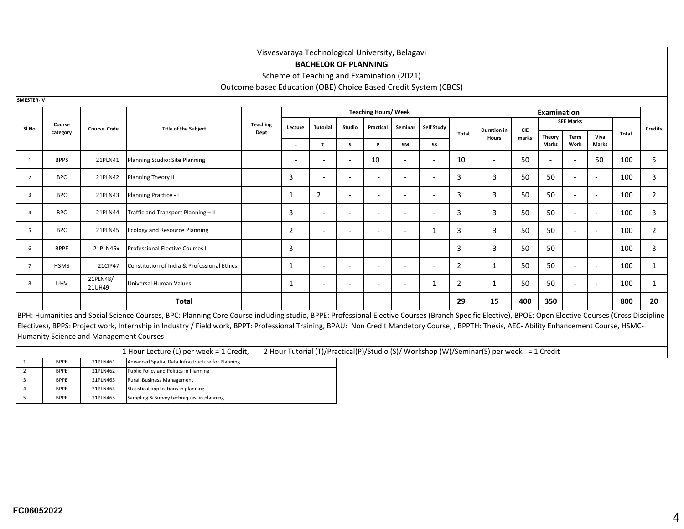#### **BACHELOR OF PLANNING**

Scheme of Teaching and Examination (2021)

Outcome basec Education (OBE) Choice Based Credit System (CBCS)

**SMESTER-IV**

|                |             |                    |                                                                                                                                                                                                       |                 |                          |                          |                          | <b>Teaching Hours/ Week</b> |                |                          |                |                                    |                     | <b>Examination</b>       |                          |                          |       |                |
|----------------|-------------|--------------------|-------------------------------------------------------------------------------------------------------------------------------------------------------------------------------------------------------|-----------------|--------------------------|--------------------------|--------------------------|-----------------------------|----------------|--------------------------|----------------|------------------------------------|---------------------|--------------------------|--------------------------|--------------------------|-------|----------------|
| SI No          | Course      | <b>Course Code</b> | <b>Title of the Subject</b>                                                                                                                                                                           | <b>Teaching</b> | Lecture                  | <b>Tutorial</b>          | Studio                   | Practical                   | Seminar        | Self Study               |                |                                    |                     |                          | <b>SEE Marks</b>         |                          |       | <b>Credits</b> |
|                | category    |                    |                                                                                                                                                                                                       | Dept            |                          |                          |                          |                             |                |                          | Total          | <b>Duration</b> in<br><b>Hours</b> | <b>CIE</b><br>marks | Theory                   | Term                     | Viva                     | Total |                |
|                |             |                    |                                                                                                                                                                                                       |                 |                          | т                        | s                        | P                           | SM             | SS                       |                |                                    |                     | <b>Marks</b>             | Work                     | <b>Marks</b>             |       |                |
|                | <b>BPPS</b> | 21PLN41            | Planning Studio: Site Planning                                                                                                                                                                        |                 | $\overline{\phantom{a}}$ | $\overline{\phantom{a}}$ | $\overline{\phantom{a}}$ | 10                          |                | $\overline{\phantom{a}}$ | 10             | $\overline{\phantom{0}}$           | 50                  | $\overline{\phantom{a}}$ | $\overline{\phantom{a}}$ | 50                       | 100   | 5              |
| $\overline{2}$ | <b>BPC</b>  | 21PLN42            | Planning Theory II                                                                                                                                                                                    |                 | 3                        | $\overline{\phantom{a}}$ | $\overline{\phantom{a}}$ |                             |                | $\overline{\phantom{a}}$ | 3              | 3                                  | 50                  | 50                       | $\overline{\phantom{a}}$ | $\overline{\phantom{a}}$ | 100   | 3              |
| 3              | <b>BPC</b>  | 21PLN43            | Planning Practice - I                                                                                                                                                                                 |                 |                          | 2                        | $\overline{\phantom{a}}$ |                             | $\overline{a}$ |                          | 3              | 3                                  | 50                  | 50                       | $\overline{\phantom{0}}$ | $\overline{\phantom{0}}$ | 100   | 2              |
|                | <b>BPC</b>  | 21PLN44            | Traffic and Transport Planning - II                                                                                                                                                                   |                 | 3                        | $\overline{\phantom{a}}$ | $\overline{\phantom{a}}$ |                             | $\overline{a}$ | $\overline{a}$           | 3              | 3                                  | 50                  | 50                       | $\overline{\phantom{a}}$ | $\overline{\phantom{a}}$ | 100   | 3              |
| 5              | <b>BPC</b>  | 21PLN45            | <b>Ecology and Resource Planning</b>                                                                                                                                                                  |                 | $\overline{2}$           | $\overline{\phantom{a}}$ | $\overline{\phantom{a}}$ | ۰                           |                |                          | 3              | 3                                  | 50                  | 50                       | $\overline{\phantom{a}}$ | $\overline{\phantom{a}}$ | 100   | 2              |
| 6              | <b>BPPE</b> | 21PLN46x           | <b>Professional Elective Courses I</b>                                                                                                                                                                |                 | 3                        | $\overline{\phantom{0}}$ | $\overline{\phantom{0}}$ |                             |                | $\overline{a}$           | 3              | 3                                  | 50                  | 50                       | $\overline{\phantom{a}}$ | $\overline{\phantom{a}}$ | 100   | 3              |
| 7              | <b>HSMS</b> | 21CIP47            | Constitution of India & Professional Ethics                                                                                                                                                           |                 | 1                        | $\overline{\phantom{a}}$ | $\overline{\phantom{a}}$ | ۰                           | $\overline{a}$ | $\overline{\phantom{a}}$ | 2              |                                    | 50                  | 50                       | $\overline{\phantom{a}}$ | $\overline{\phantom{a}}$ | 100   |                |
| 8              | <b>UHV</b>  | 21PLN48/<br>21UH49 | Universal Human Values                                                                                                                                                                                |                 | 1                        | $\overline{\phantom{a}}$ | $\overline{\phantom{0}}$ |                             |                | 1                        | $\overline{2}$ |                                    | 50                  | 50                       | $\overline{\phantom{a}}$ | $\overline{\phantom{a}}$ | 100   |                |
|                |             |                    | Total                                                                                                                                                                                                 |                 |                          |                          |                          |                             |                |                          | 29             | 15                                 | 400                 | 350                      |                          |                          | 800   | 20             |
|                |             |                    | BPH: Humanities and Social Science Courses, BPC: Planning Core Course including studio, BPPE: Professional Elective Courses (Branch Specific Elective), BPOE: Open Elective Courses (Cross Discipline |                 |                          |                          |                          |                             |                |                          |                |                                    |                     |                          |                          |                          |       |                |

Electives), BPPS: Project work, Internship in Industry / Field work, BPPT: Professional Training, BPAU: Non Credit Mandetory Course, , BPPTH: Thesis, AEC- Ability Enhancement Course, HSMC-Humanity Science and Management Courses

|             |          | 1 Hour Lecture (L) per week = 1 Credit,           | 2 Hour Tutorial (T)/Practical(P)/Studio (S)/ Workshop (W)/Seminar(S) per week = 1 Credit |  |
|-------------|----------|---------------------------------------------------|------------------------------------------------------------------------------------------|--|
| <b>BPPE</b> | 21PLN461 | Advanced Spatial Data Infrastructure for Planning |                                                                                          |  |
| <b>BPPE</b> | 21PLN462 | Public Policy and Politics in Planning            |                                                                                          |  |
| <b>BPPE</b> | 21PLN463 | Rural Business Management                         |                                                                                          |  |
| <b>BPPE</b> | 21PLN464 | Statistical applications in planning              |                                                                                          |  |
| <b>BPPE</b> | 21PLN465 | Sampling & Survey techniques in planning          |                                                                                          |  |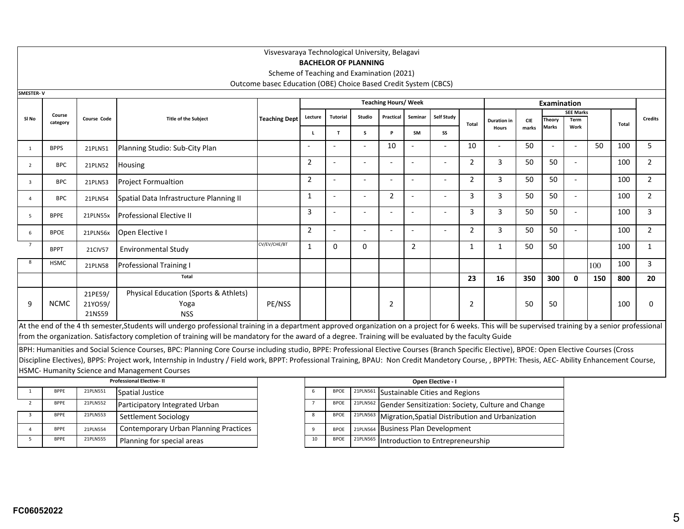|                         |                                                                                                    |                   |                                                                                                                                                                                                        | Visvesvaraya Technological University, Belagavi                                                                                                              |                |                          |                             |                                                   |                |                                  |                |                             |                     |                        |                          |     |              |                |
|-------------------------|----------------------------------------------------------------------------------------------------|-------------------|--------------------------------------------------------------------------------------------------------------------------------------------------------------------------------------------------------|--------------------------------------------------------------------------------------------------------------------------------------------------------------|----------------|--------------------------|-----------------------------|---------------------------------------------------|----------------|----------------------------------|----------------|-----------------------------|---------------------|------------------------|--------------------------|-----|--------------|----------------|
|                         |                                                                                                    |                   |                                                                                                                                                                                                        |                                                                                                                                                              |                |                          | <b>BACHELOR OF PLANNING</b> |                                                   |                |                                  |                |                             |                     |                        |                          |     |              |                |
|                         |                                                                                                    |                   |                                                                                                                                                                                                        | Scheme of Teaching and Examination (2021)                                                                                                                    |                |                          |                             |                                                   |                |                                  |                |                             |                     |                        |                          |     |              |                |
| <b>SMESTER-V</b>        |                                                                                                    |                   |                                                                                                                                                                                                        | Outcome basec Education (OBE) Choice Based Credit System (CBCS)                                                                                              |                |                          |                             |                                                   |                |                                  |                |                             |                     |                        |                          |     |              |                |
|                         |                                                                                                    |                   |                                                                                                                                                                                                        |                                                                                                                                                              |                |                          |                             | <b>Teaching Hours/ Week</b>                       |                |                                  |                |                             |                     | Examination            |                          |     |              |                |
|                         | Course                                                                                             |                   |                                                                                                                                                                                                        |                                                                                                                                                              | Lecture        | <b>Tutorial</b>          | <b>Studio</b>               | Practical                                         | Seminar        | Self Study                       |                |                             |                     |                        | <b>SEE Marks</b>         |     |              |                |
| SI No                   | category                                                                                           | Course Code       | <b>Title of the Subject</b>                                                                                                                                                                            | <b>Teaching Dept</b>                                                                                                                                         |                |                          |                             |                                                   |                |                                  | Total          | <b>Duration in</b><br>Hours | <b>CIE</b><br>marks | Theory<br><b>Marks</b> | Term<br>Work             |     | Total        | <b>Credits</b> |
|                         |                                                                                                    |                   |                                                                                                                                                                                                        |                                                                                                                                                              | $\mathbf{L}$   | $\mathbf T$              | $\mathsf{s}$                | P                                                 | SM             | SS                               |                |                             |                     |                        |                          |     |              |                |
| $\overline{1}$          | <b>BPPS</b>                                                                                        | 21PLN51           | Planning Studio: Sub-City Plan                                                                                                                                                                         |                                                                                                                                                              |                |                          | $\sim$                      | 10                                                |                |                                  | 10             |                             | 50                  |                        | $\overline{\phantom{a}}$ | 50  | 100          | 5              |
| $\overline{2}$          | <b>BPC</b>                                                                                         | 21PLN52           | Housing                                                                                                                                                                                                |                                                                                                                                                              | $\overline{2}$ | $\overline{\phantom{a}}$ | $\sim$                      | $\sim$                                            | $\overline{a}$ | $\sim$                           | $\overline{2}$ | $\mathbf{3}$                | 50                  | 50                     | $\overline{a}$           |     | 100          | $\overline{2}$ |
| $\overline{3}$          | <b>BPC</b>                                                                                         | 21PLN53           | <b>Project Formualtion</b>                                                                                                                                                                             |                                                                                                                                                              | $\overline{2}$ | $\overline{\phantom{a}}$ | $\sim$                      | $\overline{a}$                                    | $\overline{a}$ |                                  | $\overline{2}$ | 3                           | 50                  | 50                     | $\overline{a}$           |     | 100          | $\overline{2}$ |
| $\overline{a}$          | <b>BPC</b>                                                                                         | 21PLN54           | Spatial Data Infrastructure Planning II                                                                                                                                                                | 2<br>3<br>3<br>50<br>1<br>$\sim$<br>$\sim$<br>$\overline{\phantom{a}}$<br>$\overline{\phantom{a}}$<br>$\sim$<br>$\sim$<br>$\sim$<br>$\overline{\phantom{a}}$ |                |                          |                             |                                                   |                |                                  |                |                             |                     |                        |                          |     | 100          | $\overline{2}$ |
| 5                       | 3<br>$\overline{3}$<br>3<br>50<br>50<br><b>Professional Elective II</b><br><b>BPPE</b><br>21PLN55x |                   |                                                                                                                                                                                                        |                                                                                                                                                              |                |                          |                             |                                                   |                |                                  |                |                             |                     |                        |                          | 100 | $\mathbf{3}$ |                |
| 6                       | <b>BPOE</b>                                                                                        | 21PLN56x          | Open Elective I                                                                                                                                                                                        |                                                                                                                                                              | $\overline{2}$ | $\sim$                   | $\overline{\phantom{a}}$    | $\sim$                                            |                |                                  | $\overline{2}$ | 3                           | 50                  | 50                     | $\overline{a}$           |     | 100          | $\overline{2}$ |
| $\overline{7}$          | <b>BPPT</b>                                                                                        | 21CIV57           | <b>Environmental Study</b>                                                                                                                                                                             | CV/EV/CHE/BT                                                                                                                                                 | $\mathbf{1}$   | $\Omega$                 | $\Omega$                    |                                                   | $\overline{2}$ |                                  | $\mathbf{1}$   | $\mathbf{1}$                | 50                  | 50                     |                          |     | 100          | $\mathbf{1}$   |
| -8                      | <b>HSMC</b>                                                                                        | 21PLN58           | <b>Professional Training I</b>                                                                                                                                                                         |                                                                                                                                                              |                |                          |                             |                                                   |                |                                  |                |                             |                     |                        |                          | 100 | 100          | $\mathbf{3}$   |
|                         |                                                                                                    |                   | Total                                                                                                                                                                                                  |                                                                                                                                                              |                |                          |                             |                                                   |                |                                  | 23             | 16                          | 350                 | 300                    | $\mathbf{0}$             | 150 | 800          | 20             |
|                         |                                                                                                    | 21PE59/           | Physical Education (Sports & Athlets)                                                                                                                                                                  |                                                                                                                                                              |                |                          |                             |                                                   |                |                                  |                |                             |                     |                        |                          |     |              |                |
| 9                       | <b>NCMC</b>                                                                                        | 21YO59/<br>21NS59 | Yoga<br><b>NSS</b>                                                                                                                                                                                     | PE/NSS                                                                                                                                                       |                |                          |                             | 2                                                 |                |                                  | $\overline{2}$ |                             | 50                  | 50                     |                          |     | 100          | 0              |
|                         |                                                                                                    |                   | At the end of the 4 th semester, Students will undergo professional training in a department approved organization on a project for 6 weeks. This will be supervised training by a senior professional |                                                                                                                                                              |                |                          |                             |                                                   |                |                                  |                |                             |                     |                        |                          |     |              |                |
|                         |                                                                                                    |                   | from the organization. Satisfactory completion of training will be mandatory for the award of a degree. Training will be evaluated by the faculty Guide                                                |                                                                                                                                                              |                |                          |                             |                                                   |                |                                  |                |                             |                     |                        |                          |     |              |                |
|                         |                                                                                                    |                   | BPH: Humanities and Social Science Courses, BPC: Planning Core Course including studio, BPPE: Professional Elective Courses (Branch Specific Elective), BPOE: Open Elective Courses (Cross             |                                                                                                                                                              |                |                          |                             |                                                   |                |                                  |                |                             |                     |                        |                          |     |              |                |
|                         |                                                                                                    |                   | Discipline Electives), BPPS: Project work, Internship in Industry / Field work, BPPT: Professional Training, BPAU: Non Credit Mandetory Course, , BPPTH: Thesis, AEC- Ability Enhancement Course,      |                                                                                                                                                              |                |                          |                             |                                                   |                |                                  |                |                             |                     |                        |                          |     |              |                |
|                         |                                                                                                    |                   | <b>HSMC- Humanity Science and Management Courses</b>                                                                                                                                                   |                                                                                                                                                              |                |                          |                             |                                                   |                |                                  |                |                             |                     |                        |                          |     |              |                |
|                         |                                                                                                    |                   | <b>Professional Elective-II</b>                                                                                                                                                                        |                                                                                                                                                              |                |                          | Open Elective - I           |                                                   |                |                                  |                |                             |                     |                        |                          |     |              |                |
| 1                       | <b>BPPE</b>                                                                                        | 21PLN551          | <b>Spatial Justice</b>                                                                                                                                                                                 |                                                                                                                                                              | 6              | <b>BPOE</b>              | 21PLN561                    | Sustainable Cities and Regions                    |                |                                  |                |                             |                     |                        |                          |     |              |                |
| $\overline{2}$          | <b>BPPE</b>                                                                                        | 21PLN552          | Participatory Integrated Urban                                                                                                                                                                         |                                                                                                                                                              | $\overline{7}$ | <b>BPOE</b>              | 21PLN562                    | Gender Sensitization: Society, Culture and Change |                |                                  |                |                             |                     |                        |                          |     |              |                |
| $\overline{\mathbf{3}}$ | <b>BPPE</b>                                                                                        | 21PLN553          | Settlement Sociology                                                                                                                                                                                   |                                                                                                                                                              | 8              | <b>BPOE</b>              | 21PLN563                    | Migration, Spatial Distribution and Urbanization  |                |                                  |                |                             |                     |                        |                          |     |              |                |
| $\overline{4}$          | <b>BPPE</b>                                                                                        | 21PLN554          | <b>Contemporary Urban Planning Practices</b>                                                                                                                                                           |                                                                                                                                                              | 9              | <b>BPOE</b>              | 21PLN564                    |                                                   |                | <b>Business Plan Development</b> |                |                             |                     |                        |                          |     |              |                |
| 5                       | <b>BPPE</b>                                                                                        | 21PLN555          | Planning for special areas                                                                                                                                                                             |                                                                                                                                                              | 10             | <b>BPOE</b>              | 21PLN565                    |                                                   |                | Introduction to Entrepreneurship |                |                             |                     |                        |                          |     |              |                |

**FC06052022**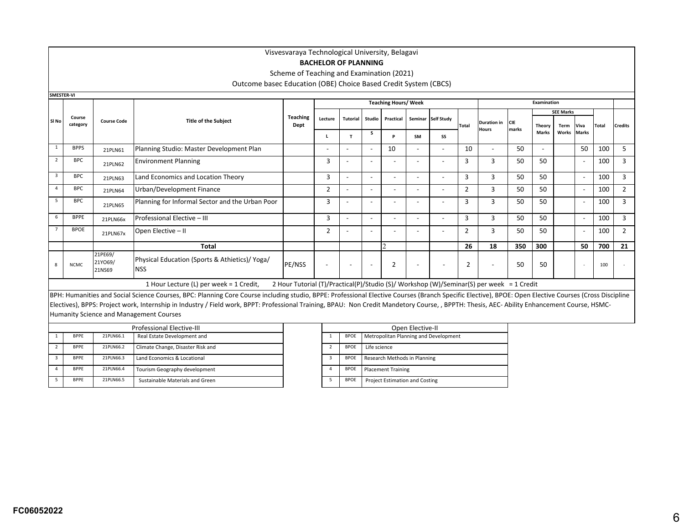# **BACHELOR OF PLANNING**

Scheme of Teaching and Examination (2021)

Outcome basec Education (OBE) Choice Based Credit System (CBCS)

| <b>SMESTER-VI</b> |                    |                              |                                                                                                                                                                                                       |                                                                                          |                          |                          |                          |                             |                          |                                       |                |                          |            |                               |                  |                          |              |                |
|-------------------|--------------------|------------------------------|-------------------------------------------------------------------------------------------------------------------------------------------------------------------------------------------------------|------------------------------------------------------------------------------------------|--------------------------|--------------------------|--------------------------|-----------------------------|--------------------------|---------------------------------------|----------------|--------------------------|------------|-------------------------------|------------------|--------------------------|--------------|----------------|
|                   |                    |                              |                                                                                                                                                                                                       |                                                                                          |                          |                          |                          | <b>Teaching Hours/ Week</b> |                          |                                       |                |                          |            | <b>Examination</b>            |                  |                          |              |                |
|                   |                    |                              |                                                                                                                                                                                                       |                                                                                          |                          |                          |                          |                             |                          |                                       |                |                          |            |                               | <b>SEE Marks</b> |                          |              |                |
| SI No             | Course<br>category | <b>Course Code</b>           | <b>Title of the Subject</b>                                                                                                                                                                           | <b>Teaching</b><br>Dept                                                                  | Lecture                  | <b>Tutorial</b>          |                          | Studio Practical            |                          | Seminar Self Study                    |                | <b>Duration in</b>       | <b>CIE</b> |                               |                  |                          |              |                |
|                   |                    |                              |                                                                                                                                                                                                       |                                                                                          |                          |                          | s.                       |                             |                          |                                       | Total          | Hours                    | marks      | <b>Theory</b><br><b>Marks</b> | Term<br>Works    | Viva<br><b>Marks</b>     | <b>Total</b> | <b>Credits</b> |
|                   |                    |                              |                                                                                                                                                                                                       |                                                                                          |                          | т                        |                          | D                           | SM                       | SS                                    |                |                          |            |                               |                  |                          |              |                |
| 1                 | <b>BPPS</b>        | 21PLN61                      | Planning Studio: Master Development Plan                                                                                                                                                              |                                                                                          |                          | $\overline{a}$           | $\overline{a}$           | 10                          | $\overline{a}$           | $\overline{\phantom{a}}$              | 10             | $\overline{\phantom{a}}$ | 50         |                               |                  | 50                       | 100          | 5              |
| $\overline{2}$    | <b>BPC</b>         | 21PLN62                      | <b>Environment Planning</b>                                                                                                                                                                           |                                                                                          | 3                        |                          | $\overline{\phantom{a}}$ | $\overline{\phantom{a}}$    | $\overline{\phantom{a}}$ |                                       | 3              | 3                        | 50         | 50                            |                  | $\overline{\phantom{a}}$ | 100          | 3              |
| 3                 | <b>BPC</b>         | 21PLN63                      | Land Economics and Location Theory                                                                                                                                                                    |                                                                                          | 3                        | $\overline{a}$           |                          | $\overline{\phantom{a}}$    |                          |                                       | 3              | $\overline{3}$           | 50         | 50                            |                  | $\overline{\phantom{a}}$ | 100          | 3              |
| $\mathbf{A}$      | <b>BPC</b>         | 21PLN64                      | Urban/Development Finance                                                                                                                                                                             |                                                                                          | 2                        | $\overline{\phantom{0}}$ | $\overline{\phantom{a}}$ | $\overline{\phantom{a}}$    |                          | $\overline{\phantom{a}}$              | $\overline{2}$ | 3                        | 50         | 50                            |                  | $\overline{\phantom{a}}$ | 100          | $\overline{2}$ |
| -5                | <b>BPC</b>         | 21PLN65                      | Planning for Informal Sector and the Urban Poor                                                                                                                                                       |                                                                                          | 3                        |                          |                          | $\overline{\phantom{a}}$    |                          |                                       | 3              | 3                        | 50         | 50                            |                  | $\overline{\phantom{a}}$ | 100          | 3              |
| 6                 | <b>BPPE</b>        | 21PLN66x                     | Professional Elective - III                                                                                                                                                                           |                                                                                          | 3                        | $\overline{a}$           |                          | $\overline{\phantom{a}}$    |                          |                                       | 3              | $\overline{3}$           | 50         | 50                            |                  | $\overline{\phantom{a}}$ | 100          | 3              |
|                   | <b>BPOE</b>        | 21PLN67x                     | Open Elective - II                                                                                                                                                                                    |                                                                                          | $\overline{2}$           |                          |                          | $\overline{\phantom{a}}$    |                          |                                       | $\overline{2}$ | $\overline{3}$           | 50         | 50                            |                  | $\overline{\phantom{a}}$ | 100          | $\overline{2}$ |
|                   |                    |                              | Total                                                                                                                                                                                                 |                                                                                          |                          |                          |                          |                             |                          |                                       | 26             | 18                       | 350        | 300                           |                  | 50                       | 700          | 21             |
| 8                 | <b>NCMC</b>        | 21PE69/<br>21YO69/<br>21NS69 | Physical Education (Sports & Athietics)/ Yoga/<br><b>NSS</b>                                                                                                                                          | PE/NSS                                                                                   | $\overline{\phantom{a}}$ |                          | $\overline{\phantom{a}}$ | $\overline{2}$              |                          | $\overline{\phantom{a}}$              | $\overline{2}$ |                          | 50         | 50                            |                  | ٠                        | 100          |                |
|                   |                    |                              | 1 Hour Lecture (L) per week = 1 Credit,                                                                                                                                                               | 2 Hour Tutorial (T)/Practical(P)/Studio (S)/ Workshop (W)/Seminar(S) per week = 1 Credit |                          |                          |                          |                             |                          |                                       |                |                          |            |                               |                  |                          |              |                |
|                   |                    |                              | BPH: Humanities and Social Science Courses, BPC: Planning Core Course including studio, BPPE: Professional Elective Courses (Branch Specific Elective), BPOE: Open Elective Courses (Cross Discipline |                                                                                          |                          |                          |                          |                             |                          |                                       |                |                          |            |                               |                  |                          |              |                |
|                   |                    |                              | Electives), BPPS: Project work, Internship in Industry / Field work, BPPT: Professional Training, BPAU: Non Credit Mandetory Course, , BPPTH: Thesis, AEC- Ability Enhancement Course, HSMC-          |                                                                                          |                          |                          |                          |                             |                          |                                       |                |                          |            |                               |                  |                          |              |                |
|                   |                    |                              | Humanity Science and Management Courses                                                                                                                                                               |                                                                                          |                          |                          |                          |                             |                          |                                       |                |                          |            |                               |                  |                          |              |                |
|                   |                    |                              | <b>Professional Elective-III</b>                                                                                                                                                                      |                                                                                          |                          |                          |                          |                             | Open Elective-II         |                                       |                |                          |            |                               |                  |                          |              |                |
|                   | <b>BPPE</b>        | 21PLN66.1                    | Real Estate Development and                                                                                                                                                                           |                                                                                          |                          | <b>BPOE</b>              |                          |                             |                          | Metropolitan Planning and Development |                |                          |            |                               |                  |                          |              |                |
| $\overline{2}$    | <b>RDDE</b>        | <b>21DI NGC 2</b>            | Climate Change, Disaster Bisk and                                                                                                                                                                     |                                                                                          | $\mathcal{L}$            |                          | $RDAE = 1$ ifo coiongo   |                             |                          |                                       |                |                          |            |                               |                  |                          |              |                |

| <b>BPPE</b> | 21PLN66.2 | Climate Change, Disaster Risk and |  | <b>BPOE</b> | Life science                          |
|-------------|-----------|-----------------------------------|--|-------------|---------------------------------------|
| <b>BPPF</b> | 21PLN66.3 | Land Economics & Locational       |  | <b>BPOE</b> | Research Methods in Planning          |
| <b>BPPF</b> | 21PLN66.4 | Tourism Geography development     |  | <b>BPOE</b> | <b>Placement Training</b>             |
| <b>BPPE</b> | 21PLN66.5 | Sustainable Materials and Green   |  | <b>BPOE</b> | <b>Project Estimation and Costing</b> |

|                |             | Open Elective-II                      |
|----------------|-------------|---------------------------------------|
| 1              | <b>BPOE</b> | Metropolitan Planning and Development |
| $\overline{2}$ | <b>BPOE</b> | Life science                          |
| 3              | <b>BPOE</b> | Research Methods in Planning          |
| 4              | <b>BPOE</b> | <b>Placement Training</b>             |
| 5              | <b>BPOE</b> | <b>Project Estimation and Costing</b> |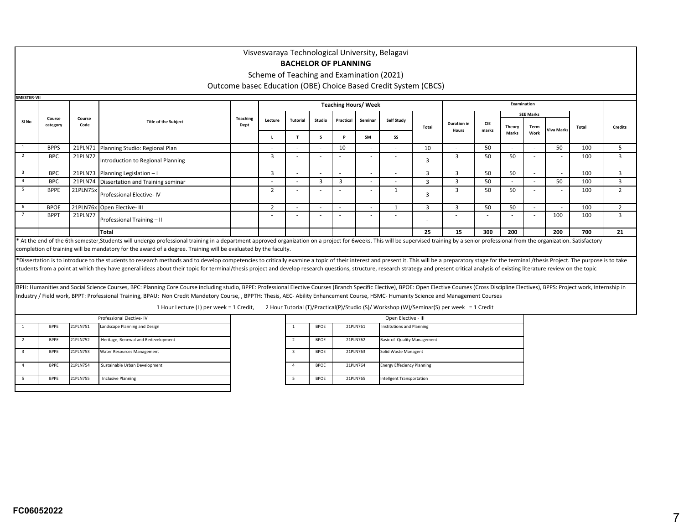**<sup>L</sup> <sup>T</sup> <sup>S</sup> <sup>P</sup> SM SS** 1 BPPS 21PLN71 Planning Studio: Regional Plan - - - <sup>10</sup> - - <sup>10</sup> - <sup>50</sup> - - <sup>50</sup> <sup>100</sup> <sup>5</sup> 2 BPC 21PLN72 Introduction to Regional Planning <sup>3</sup> - - - - - <sup>3</sup> $\begin{array}{|c|c|c|c|c|c|c|c|c|} \hline \end{array}$  3  $\begin{array}{|c|c|c|c|c|c|} \hline \end{array}$  50  $\begin{array}{|c|c|c|c|c|} \hline \end{array}$  50  $\begin{array}{|c|c|c|c|} \hline \end{array}$  100  $\begin{array}{|c|c|c|} \hline \end{array}$  3 3BPC 21PLN73<br>BPC 21PLN74 Planning Legislation – I <sup>3</sup> - - - - - <sup>3</sup>3 3 50 50 - 100 3 BPC 21PLN74 Dissertation and Training seminar - - <sup>3</sup> <sup>3</sup> - - <sup>3</sup>3 3 50 - 50 100 3 521PLN75> Professional Elective- IV2 - - - - - - - 1 33 50 50 - 100 2 6 BPOE<u>BPOE 21PLN76x Open Elective- III</u> 2<br>
BPPT 21PLN77 2 - - - - - 1 3 3 50 50 - 1 1 00 2 721PLN77 Professional Training – II - - - - - - -- | - | - | - | 100 | 100 | 3 **Total**21 15 1300 200 1 200 1700 21 21 15 200 200 1700 21 21 22 25 200 200 1 200 1700 21<br>A At the end of the 6th semester,Students will undergo professional training in a department approved organization on a project for 6weeks. Visvesvaraya Technological University, Belagavi**BACHELOR OF PLANNING** Scheme of Teaching and Examination (2021)Outcome basec Education (OBE) Choice Based Credit System (CBCS)**SMESTER-VIISl No Course categoryCourse CodeThe Subject of the Subject Teaching**<br> **Pept** Dept **Teaching Hours/ WeekExamination**<br> **Examination Lecture Tutorial Studio Practical Seminar Self Study Total**completion of training will be mandatory for the award of a degree. Training will be evaluated by the faculty.\*Dissertation is to introduce to the students to research methods and to develop competencies to critically examine a topic of their interest and present it. This will be a preparatory stage for the terminal /thesis Projec students from a point at which they have general ideas about their topic for terminal/thesis project and develop research questions, structure, research strategy and present critical analysis of existing literature review **Duration in HoursCIE marksSEE MarksTheory Total Credits Viva Marks MarksTerm Work**BPH: Humanities and Social Science Courses, BPC: Planning Core Course including studio, BPPE: Professional Elective Courses (Branch Specific Elective), BPOE: Dpen Elective Courses (Cross Discipline Electives), BPPS: Projec Industry / Field work, BPPT: Professional Training, BPAU: Non Credit Mandetory Course, , BPPTH: Thesis, AEC- Ability Enhancement Course, HSMC- Humanity Science and Management Courses

#### 1 Hour Lecture (L) per week = 1 Credit, 2 Hour Tutorial (T)/Practical(P)/Studio (S)/ Workshop (W)/Seminar(S) per week = 1 Credit

|                          |             |          | Professional Elective-IV            |   |             |
|--------------------------|-------------|----------|-------------------------------------|---|-------------|
| $\mathbf{1}$             | <b>BPPE</b> | 21PLN751 | Landscape Planning and Design       |   | <b>BPOE</b> |
| $\overline{\phantom{a}}$ | <b>BPPE</b> | 21PLN752 | Heritage, Renewal and Redevelopment |   | <b>BPOE</b> |
| 3                        | <b>BPPE</b> | 21PLN753 | Water Resources Management          |   | <b>BPOE</b> |
| 4                        | <b>BPPE</b> | 21PLN754 | Sustainable Urban Development       | Δ | <b>BPOE</b> |
| 5                        | <b>BPPE</b> | 21PLN755 | <b>Inclusive Planning</b>           |   | <b>BPOE</b> |
|                          |             |          |                                     |   |             |

|                          |             |          | Open Elective - III               |
|--------------------------|-------------|----------|-----------------------------------|
|                          | <b>BPOF</b> | 21PIN761 | Institutions and Planning         |
| $\overline{\phantom{a}}$ | <b>BPOF</b> | 21PIN762 | Basic of Quality Management       |
| 3                        | <b>BPOF</b> | 21PLN763 | Solid Waste Managent              |
| 4                        | <b>BPOF</b> | 21PIN764 | <b>Energy Effeciency Planning</b> |
|                          | <b>BPOE</b> | 21PLN765 | Intellgent Transportation         |